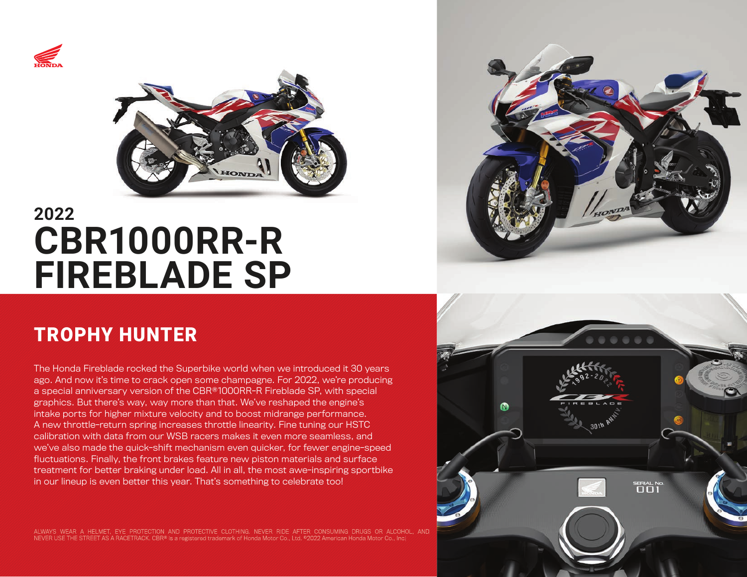



# **2022 CBR1000RR-R FIREBLADE SP**

## TROPHY HUNTER

The Honda Fireblade rocked the Superbike world when we introduced it 30 years ago. And now it's time to crack open some champagne. For 2022, we're producing a special anniversary version of the CBR®1000RR-R Fireblade SP, with special graphics. But there's way, way more than that. We've reshaped the engine's intake ports for higher mixture velocity and to boost midrange performance. A new throttle-return spring increases throttle linearity. Fine tuning our HSTC calibration with data from our WSB racers makes it even more seamless, and we've also made the quick-shift mechanism even quicker, for fewer engine-speed fluctuations. Finally, the front brakes feature new piston materials and surface treatment for better braking under load. All in all, the most awe-inspiring sportbike in our lineup is even better this year. That's something to celebrate too!

ALWAYS WEAR A HELMET, EYE PROTECTION AND PROTECTIVE CLOTHING. NEVER RIDE AFTER CONSUMING DRUGS OR ALCOHOL, AND NEVER USE THE STREET AS A RACETRACK. CBR® is a registered trademark of Honda Motor Co., Ltd. ©2022 American Honda Motor Co., Inc.